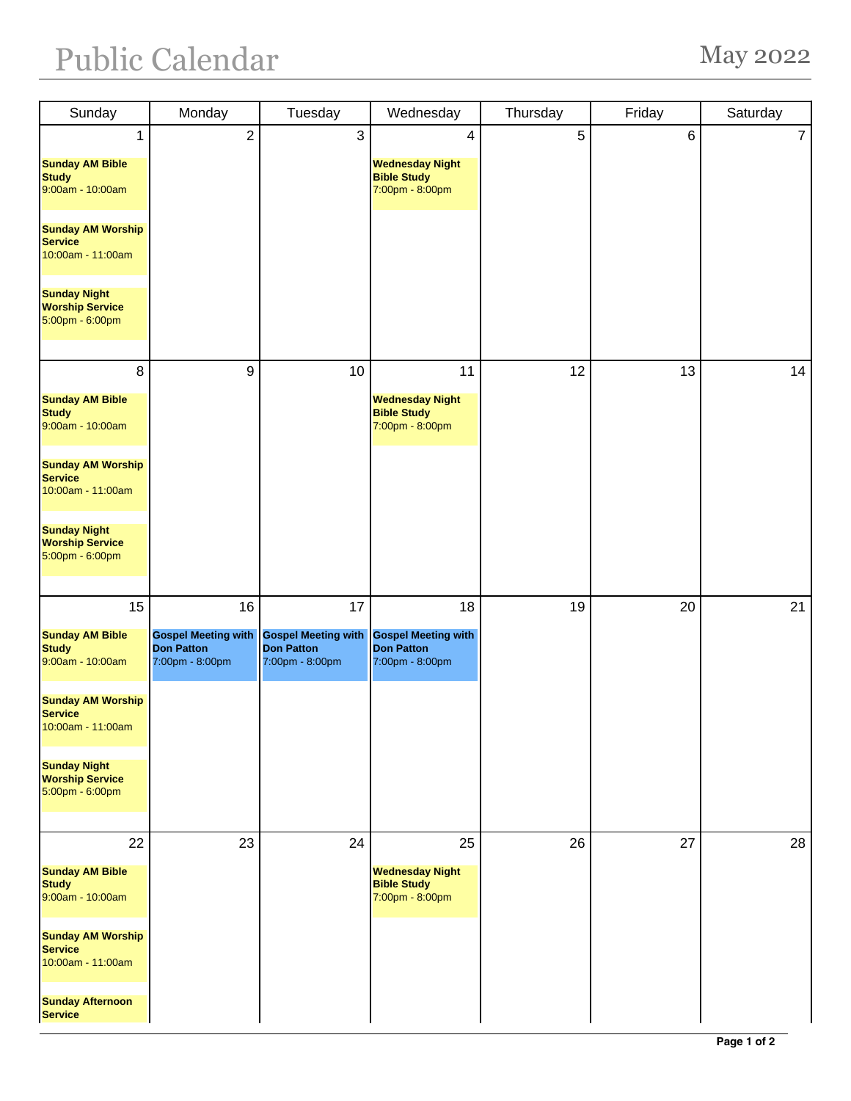## Public Calendar May 2022

| Sunday                                                           | Monday                                                             | Tuesday                                                            | Wednesday                                                          | Thursday   | Friday | Saturday       |
|------------------------------------------------------------------|--------------------------------------------------------------------|--------------------------------------------------------------------|--------------------------------------------------------------------|------------|--------|----------------|
| 1                                                                | $\overline{2}$                                                     | 3                                                                  | 4                                                                  | $\sqrt{5}$ | $\,6$  | $\overline{7}$ |
| <b>Sunday AM Bible</b><br><b>Study</b><br>9:00am - 10:00am       |                                                                    |                                                                    | <b>Wednesday Night</b><br><b>Bible Study</b><br>7:00pm - 8:00pm    |            |        |                |
| <b>Sunday AM Worship</b><br><b>Service</b><br>10:00am - 11:00am  |                                                                    |                                                                    |                                                                    |            |        |                |
| <b>Sunday Night</b><br><b>Worship Service</b><br>5:00pm - 6:00pm |                                                                    |                                                                    |                                                                    |            |        |                |
| 8                                                                | 9                                                                  | 10                                                                 | 11                                                                 | 12         | 13     | 14             |
| <b>Sunday AM Bible</b><br><b>Study</b><br>9:00am - 10:00am       |                                                                    |                                                                    | <b>Wednesday Night</b><br><b>Bible Study</b><br>7:00pm - 8:00pm    |            |        |                |
| <b>Sunday AM Worship</b><br><b>Service</b><br>10:00am - 11:00am  |                                                                    |                                                                    |                                                                    |            |        |                |
| <b>Sunday Night</b><br><b>Worship Service</b><br>5:00pm - 6:00pm |                                                                    |                                                                    |                                                                    |            |        |                |
| 15                                                               | 16                                                                 | 17                                                                 | 18                                                                 | 19         | 20     | 21             |
| <b>Sunday AM Bible</b><br><b>Study</b><br>9:00am - 10:00am       | <b>Gospel Meeting with</b><br><b>Don Patton</b><br>7:00pm - 8:00pm | <b>Gospel Meeting with</b><br><b>Don Patton</b><br>7:00pm - 8:00pm | <b>Gospel Meeting with</b><br><b>Don Patton</b><br>7:00pm - 8:00pm |            |        |                |
| <b>Sunday AM Worship</b><br><b>Service</b><br>10:00am - 11:00am  |                                                                    |                                                                    |                                                                    |            |        |                |
| <b>Sunday Night</b><br><b>Worship Service</b><br>5:00pm - 6:00pm |                                                                    |                                                                    |                                                                    |            |        |                |
| 22                                                               | 23                                                                 | 24                                                                 | 25                                                                 | 26         | 27     | 28             |
| <b>Sunday AM Bible</b><br><b>Study</b><br>9:00am - 10:00am       |                                                                    |                                                                    | <b>Wednesday Night</b><br><b>Bible Study</b><br>7:00pm - 8:00pm    |            |        |                |
| <b>Sunday AM Worship</b><br><b>Service</b><br>10:00am - 11:00am  |                                                                    |                                                                    |                                                                    |            |        |                |
| <b>Sunday Afternoon</b><br><b>Service</b>                        |                                                                    |                                                                    |                                                                    |            |        |                |